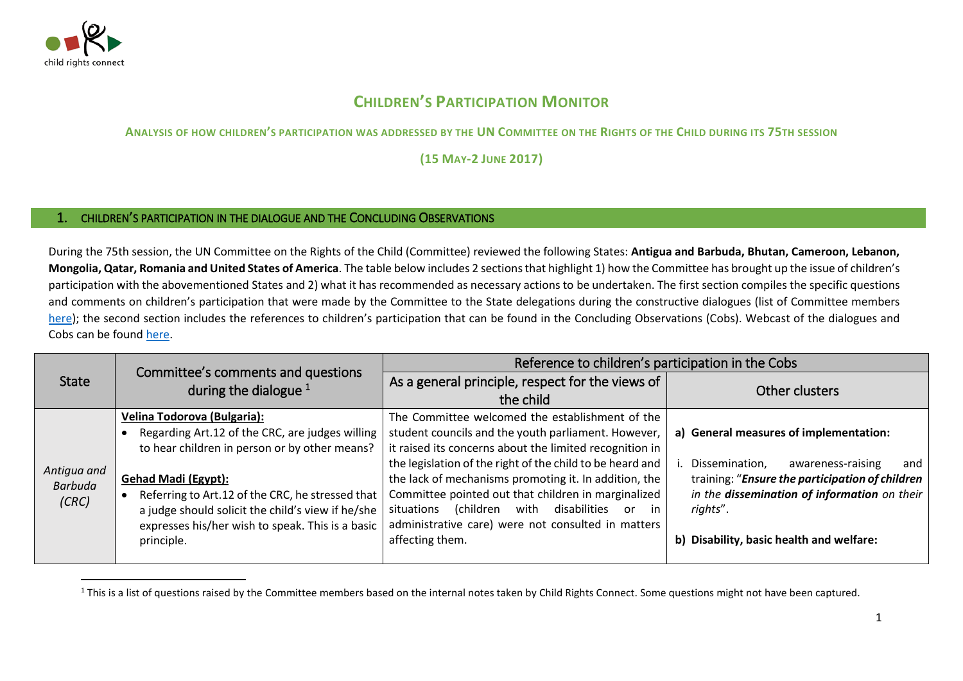

 $\overline{a}$ 

## **CHILDREN'S PARTICIPATION MONITOR**

ANALYSIS OF HOW CHILDREN'S PARTICIPATION WAS ADDRESSED BY THE UN COMMITTEE ON THE RIGHTS OF THE CHILD DURING ITS 75TH SESSION

**(15 MAY-2 JUNE 2017)**

## 1. CHILDREN'S PARTICIPATION IN THE DIALOGUE AND THE CONCLUDING OBSERVATIONS

During the 75th session, the UN Committee on the Rights of the Child (Committee) reviewed the following States: **Antigua and Barbuda, Bhutan, Cameroon, Lebanon, Mongolia, Qatar, Romania and United States of America**. The table below includes 2 sectionsthat highlight 1) how the Committee has brought up the issue of children's participation with the abovementioned States and 2) what it has recommended as necessary actions to be undertaken. The first section compiles the specific questions and comments on children's participation that were made by the Committee to the State delegations during the constructive dialogues (list of Committee members [here](http://www.ohchr.org/EN/HRBodies/CRC/Pages/Membership.aspx)); the second section includes the references to children's participation that can be found in the Concluding Observations (Cobs). Webcast of the dialogues and Cobs can be foun[d here.](http://tbinternet.ohchr.org/_layouts/treatybodyexternal/SessionDetails1.aspx?SessionID=1100&Lang=en)

|                                 | Committee's comments and questions<br>during the dialogue $1$ | Reference to children's participation in the Cobs           |                                                 |
|---------------------------------|---------------------------------------------------------------|-------------------------------------------------------------|-------------------------------------------------|
| <b>State</b>                    |                                                               | As a general principle, respect for the views of            | Other clusters                                  |
|                                 |                                                               | the child                                                   |                                                 |
| Antigua and<br>Barbuda<br>(CRC) | <b>Velina Todorova (Bulgaria):</b>                            | The Committee welcomed the establishment of the             |                                                 |
|                                 | Regarding Art.12 of the CRC, are judges willing               | student councils and the youth parliament. However,         | a) General measures of implementation:          |
|                                 | to hear children in person or by other means?                 | it raised its concerns about the limited recognition in     |                                                 |
|                                 |                                                               | the legislation of the right of the child to be heard and   | Dissemination,<br>awareness-raising<br>and      |
|                                 | <b>Gehad Madi (Egypt):</b>                                    | the lack of mechanisms promoting it. In addition, the       | training: "Ensure the participation of children |
|                                 | Referring to Art.12 of the CRC, he stressed that              | Committee pointed out that children in marginalized         | in the dissemination of information on their    |
|                                 | a judge should solicit the child's view if he/she             | disabilities<br>(children<br>with<br>in<br>situations<br>or | rights".                                        |
|                                 | expresses his/her wish to speak. This is a basic              | administrative care) were not consulted in matters          |                                                 |
|                                 | principle.                                                    | affecting them.                                             | b) Disability, basic health and welfare:        |
|                                 |                                                               |                                                             |                                                 |

<sup>&</sup>lt;sup>1</sup> This is a list of questions raised by the Committee members based on the internal notes taken by Child Rights Connect. Some questions might not have been captured.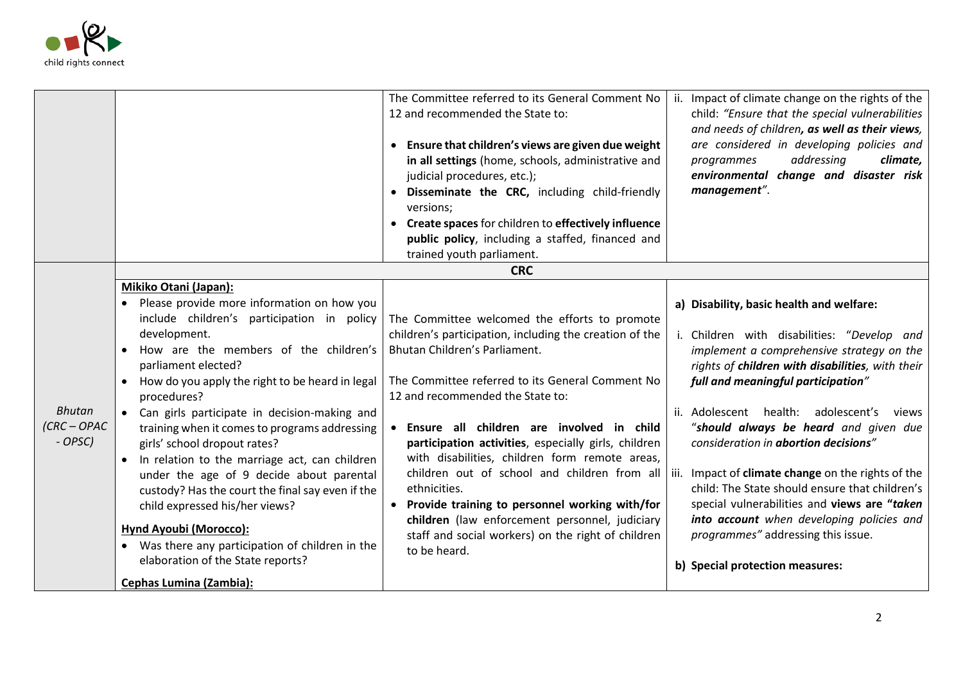

|                                                                                                                                                                                                                                                                                                                                                                                                                                                                                                                                                                                                                                                                                                                                    | • Ensure that children's views are given due weight<br>in all settings (home, schools, administrative and<br>judicial procedures, etc.);<br>Disseminate the CRC, including child-friendly<br>versions;<br>• Create spaces for children to effectively influence<br>public policy, including a staffed, financed and<br>trained youth parliament.                                                                                                                                                                                                                                                                                            | child: "Ensure that the special vulnerabilities<br>and needs of children, as well as their views,<br>are considered in developing policies and<br>addressing<br>climate,<br>programmes<br>environmental change and disaster risk<br>management".                                                                                                                                                                                                                                                                                                                                                                                                   |
|------------------------------------------------------------------------------------------------------------------------------------------------------------------------------------------------------------------------------------------------------------------------------------------------------------------------------------------------------------------------------------------------------------------------------------------------------------------------------------------------------------------------------------------------------------------------------------------------------------------------------------------------------------------------------------------------------------------------------------|---------------------------------------------------------------------------------------------------------------------------------------------------------------------------------------------------------------------------------------------------------------------------------------------------------------------------------------------------------------------------------------------------------------------------------------------------------------------------------------------------------------------------------------------------------------------------------------------------------------------------------------------|----------------------------------------------------------------------------------------------------------------------------------------------------------------------------------------------------------------------------------------------------------------------------------------------------------------------------------------------------------------------------------------------------------------------------------------------------------------------------------------------------------------------------------------------------------------------------------------------------------------------------------------------------|
|                                                                                                                                                                                                                                                                                                                                                                                                                                                                                                                                                                                                                                                                                                                                    | <b>CRC</b>                                                                                                                                                                                                                                                                                                                                                                                                                                                                                                                                                                                                                                  |                                                                                                                                                                                                                                                                                                                                                                                                                                                                                                                                                                                                                                                    |
| Mikiko Otani (Japan):<br>Please provide more information on how you<br>$\bullet$<br>include children's participation in policy<br>development.<br>How are the members of the children's<br>$\bullet$<br>parliament elected?<br>How do you apply the right to be heard in legal<br>procedures?<br>Can girls participate in decision-making and<br>training when it comes to programs addressing<br>girls' school dropout rates?<br>In relation to the marriage act, can children<br>under the age of 9 decide about parental<br>custody? Has the court the final say even if the<br>child expressed his/her views?<br>Hynd Ayoubi (Morocco):<br>Was there any participation of children in the<br>elaboration of the State reports? | The Committee welcomed the efforts to promote<br>children's participation, including the creation of the<br>Bhutan Children's Parliament.<br>The Committee referred to its General Comment No<br>12 and recommended the State to:<br>• Ensure all children are involved in child<br>participation activities, especially girls, children<br>with disabilities, children form remote areas,<br>children out of school and children from all iii.<br>ethnicities.<br>• Provide training to personnel working with/for<br>children (law enforcement personnel, judiciary<br>staff and social workers) on the right of children<br>to be heard. | a) Disability, basic health and welfare:<br>i. Children with disabilities: "Develop and<br>implement a comprehensive strategy on the<br>rights of children with disabilities, with their<br>full and meaningful participation"<br>Adolescent health: adolescent's<br>ii.<br>views<br>"should always be heard and given due<br>consideration in abortion decisions"<br>Impact of <b>climate change</b> on the rights of the<br>child: The State should ensure that children's<br>special vulnerabilities and views are "taken<br>into account when developing policies and<br>programmes" addressing this issue.<br>b) Special protection measures: |
|                                                                                                                                                                                                                                                                                                                                                                                                                                                                                                                                                                                                                                                                                                                                    | Cephas Lumina (Zambia):                                                                                                                                                                                                                                                                                                                                                                                                                                                                                                                                                                                                                     | 12 and recommended the State to:                                                                                                                                                                                                                                                                                                                                                                                                                                                                                                                                                                                                                   |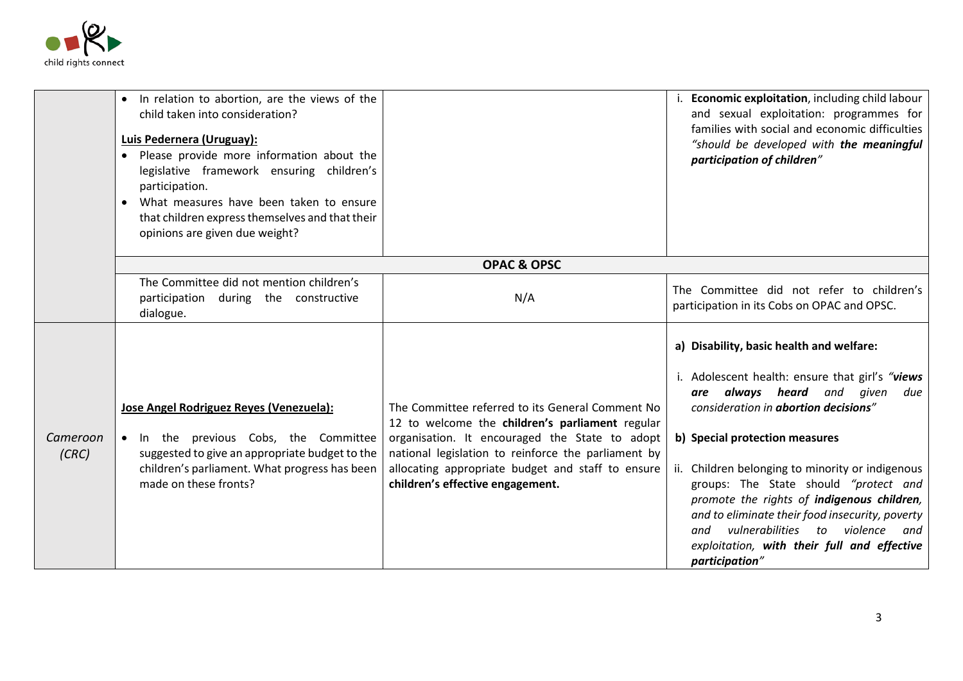

|                   | In relation to abortion, are the views of the<br>child taken into consideration?<br>Luis Pedernera (Uruguay):<br>Please provide more information about the<br>legislative framework ensuring children's<br>participation.<br>What measures have been taken to ensure<br>that children express themselves and that their<br>opinions are given due weight? |                                                                                                                                                                                                                                                                                                       | i. Economic exploitation, including child labour<br>and sexual exploitation: programmes for<br>families with social and economic difficulties<br>"should be developed with the meaningful<br>participation of children"                                                                                                                                                                                                                                                                                                                  |
|-------------------|-----------------------------------------------------------------------------------------------------------------------------------------------------------------------------------------------------------------------------------------------------------------------------------------------------------------------------------------------------------|-------------------------------------------------------------------------------------------------------------------------------------------------------------------------------------------------------------------------------------------------------------------------------------------------------|------------------------------------------------------------------------------------------------------------------------------------------------------------------------------------------------------------------------------------------------------------------------------------------------------------------------------------------------------------------------------------------------------------------------------------------------------------------------------------------------------------------------------------------|
|                   | <b>OPAC &amp; OPSC</b>                                                                                                                                                                                                                                                                                                                                    |                                                                                                                                                                                                                                                                                                       |                                                                                                                                                                                                                                                                                                                                                                                                                                                                                                                                          |
|                   | The Committee did not mention children's<br>participation during the constructive<br>dialogue.                                                                                                                                                                                                                                                            | N/A                                                                                                                                                                                                                                                                                                   | The Committee did not refer to children's<br>participation in its Cobs on OPAC and OPSC.                                                                                                                                                                                                                                                                                                                                                                                                                                                 |
| Cameroon<br>(CRC) | Jose Angel Rodriguez Reyes (Venezuela):<br>. In the previous Cobs, the Committee<br>suggested to give an appropriate budget to the<br>children's parliament. What progress has been<br>made on these fronts?                                                                                                                                              | The Committee referred to its General Comment No<br>12 to welcome the children's parliament regular<br>organisation. It encouraged the State to adopt<br>national legislation to reinforce the parliament by<br>allocating appropriate budget and staff to ensure<br>children's effective engagement. | a) Disability, basic health and welfare:<br>i. Adolescent health: ensure that girl's "views<br><b>always heard</b> and given<br>due<br>are<br>consideration in <b>abortion decisions</b> "<br>b) Special protection measures<br>ii. Children belonging to minority or indigenous<br>groups: The State should "protect and<br>promote the rights of indigenous children,<br>and to eliminate their food insecurity, poverty<br>vulnerabilities to violence<br>and<br>and<br>exploitation, with their full and effective<br>participation" |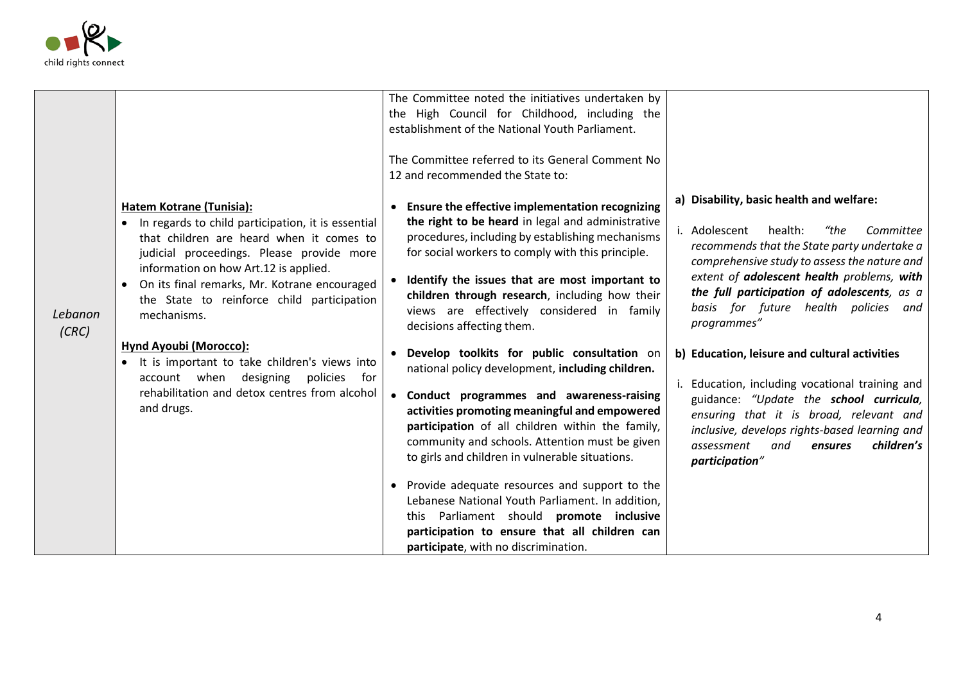

|                  |                                                                                                                                                                                                                                                                                                                                                                                                                                                                                                                                    | The Committee noted the initiatives undertaken by<br>the High Council for Childhood, including the<br>establishment of the National Youth Parliament.<br>The Committee referred to its General Comment No<br>12 and recommended the State to:                                                                                                                                                                                                                                                                                                                                                                                                                                                                                                                                                                                                                                                                                                                                                         |                                                                                                                                                                                                                                                                                                                                                                                                                                                                                                                                                                                                                                                         |
|------------------|------------------------------------------------------------------------------------------------------------------------------------------------------------------------------------------------------------------------------------------------------------------------------------------------------------------------------------------------------------------------------------------------------------------------------------------------------------------------------------------------------------------------------------|-------------------------------------------------------------------------------------------------------------------------------------------------------------------------------------------------------------------------------------------------------------------------------------------------------------------------------------------------------------------------------------------------------------------------------------------------------------------------------------------------------------------------------------------------------------------------------------------------------------------------------------------------------------------------------------------------------------------------------------------------------------------------------------------------------------------------------------------------------------------------------------------------------------------------------------------------------------------------------------------------------|---------------------------------------------------------------------------------------------------------------------------------------------------------------------------------------------------------------------------------------------------------------------------------------------------------------------------------------------------------------------------------------------------------------------------------------------------------------------------------------------------------------------------------------------------------------------------------------------------------------------------------------------------------|
| Lebanon<br>(CRC) | Hatem Kotrane (Tunisia):<br>• In regards to child participation, it is essential<br>that children are heard when it comes to<br>judicial proceedings. Please provide more<br>information on how Art.12 is applied.<br>On its final remarks, Mr. Kotrane encouraged<br>$\bullet$<br>the State to reinforce child participation<br>mechanisms.<br>Hynd Ayoubi (Morocco):<br>• It is important to take children's views into<br>account when designing policies<br>for<br>rehabilitation and detox centres from alcohol<br>and drugs. | • Ensure the effective implementation recognizing<br>the right to be heard in legal and administrative<br>procedures, including by establishing mechanisms<br>for social workers to comply with this principle.<br>Identify the issues that are most important to<br>children through research, including how their<br>views are effectively considered in family<br>decisions affecting them.<br>• Develop toolkits for public consultation on<br>national policy development, including children.<br>• Conduct programmes and awareness-raising<br>activities promoting meaningful and empowered<br>participation of all children within the family,<br>community and schools. Attention must be given<br>to girls and children in vulnerable situations.<br>Provide adequate resources and support to the<br>Lebanese National Youth Parliament. In addition,<br>this Parliament should promote inclusive<br>participation to ensure that all children can<br>participate, with no discrimination. | a) Disability, basic health and welfare:<br>i. Adolescent<br>health:<br>"the<br>Committee<br>recommends that the State party undertake a<br>comprehensive study to assess the nature and<br>extent of adolescent health problems, with<br>the full participation of adolescents, as a<br>basis for future health policies and<br>programmes"<br>b) Education, leisure and cultural activities<br>i. Education, including vocational training and<br>guidance: "Update the school curricula,<br>ensuring that it is broad, relevant and<br>inclusive, develops rights-based learning and<br>children's<br>and<br>assessment<br>ensures<br>participation" |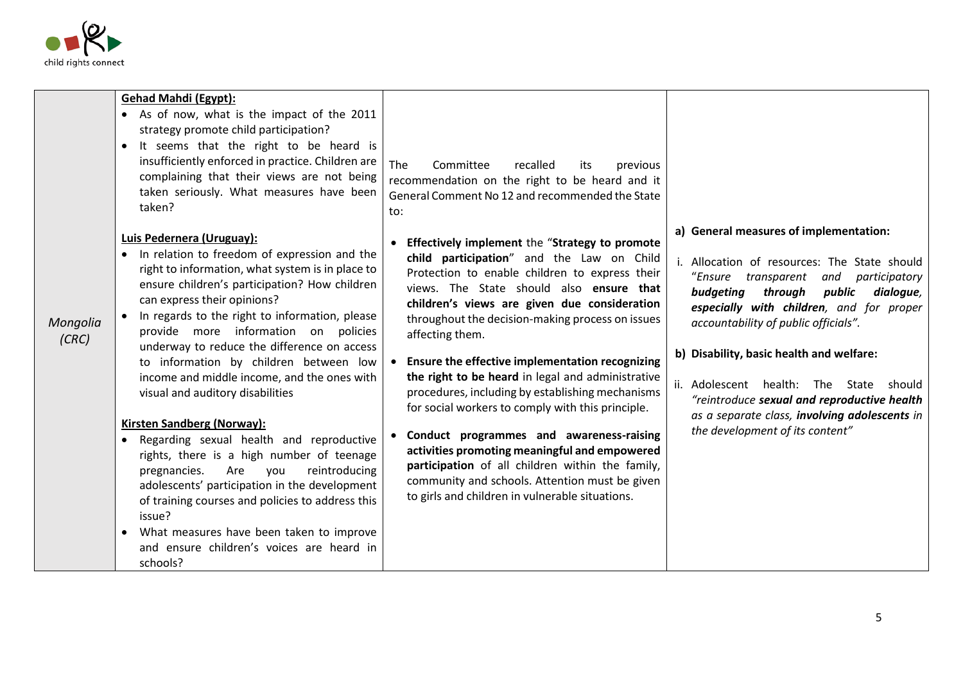

|                   | <b>Gehad Mahdi (Egypt):</b><br>As of now, what is the impact of the 2011<br>strategy promote child participation?<br>It seems that the right to be heard is<br>$\bullet$<br>insufficiently enforced in practice. Children are<br>complaining that their views are not being<br>taken seriously. What measures have been<br>taken?                                                                                                                                                                                                                                                                                                                                                                                                                                                                                                                                                          | The<br>Committee<br>recalled<br>its<br>previous<br>recommendation on the right to be heard and it<br>General Comment No 12 and recommended the State<br>to:                                                                                                                                                                                                                                                                                                                                                                                                                                                                                                                                                                                                                             |                                                                                                                                                                                                                                                                                                                                                                                                                                                                                                 |
|-------------------|--------------------------------------------------------------------------------------------------------------------------------------------------------------------------------------------------------------------------------------------------------------------------------------------------------------------------------------------------------------------------------------------------------------------------------------------------------------------------------------------------------------------------------------------------------------------------------------------------------------------------------------------------------------------------------------------------------------------------------------------------------------------------------------------------------------------------------------------------------------------------------------------|-----------------------------------------------------------------------------------------------------------------------------------------------------------------------------------------------------------------------------------------------------------------------------------------------------------------------------------------------------------------------------------------------------------------------------------------------------------------------------------------------------------------------------------------------------------------------------------------------------------------------------------------------------------------------------------------------------------------------------------------------------------------------------------------|-------------------------------------------------------------------------------------------------------------------------------------------------------------------------------------------------------------------------------------------------------------------------------------------------------------------------------------------------------------------------------------------------------------------------------------------------------------------------------------------------|
| Mongolia<br>(CRC) | Luis Pedernera (Uruguay):<br>In relation to freedom of expression and the<br>right to information, what system is in place to<br>ensure children's participation? How children<br>can express their opinions?<br>In regards to the right to information, please<br>provide more information on policies<br>underway to reduce the difference on access<br>to information by children between low<br>income and middle income, and the ones with<br>visual and auditory disabilities<br>Kirsten Sandberg (Norway):<br>Regarding sexual health and reproductive<br>rights, there is a high number of teenage<br>pregnancies.<br>Are<br>reintroducing<br>you<br>adolescents' participation in the development<br>of training courses and policies to address this<br>issue?<br>What measures have been taken to improve<br>$\bullet$<br>and ensure children's voices are heard in<br>schools? | Effectively implement the "Strategy to promote<br>child participation" and the Law on Child<br>Protection to enable children to express their<br>views. The State should also ensure that<br>children's views are given due consideration<br>throughout the decision-making process on issues<br>affecting them.<br>Ensure the effective implementation recognizing<br>the right to be heard in legal and administrative<br>procedures, including by establishing mechanisms<br>for social workers to comply with this principle.<br>Conduct programmes and awareness-raising<br>activities promoting meaningful and empowered<br>participation of all children within the family,<br>community and schools. Attention must be given<br>to girls and children in vulnerable situations. | a) General measures of implementation:<br>i. Allocation of resources: The State should<br>"Ensure transparent<br>and participatory<br>budgeting through<br>public<br>dialogue,<br>especially with children, and for proper<br>accountability of public officials".<br>b) Disability, basic health and welfare:<br>ii.<br>Adolescent health: The State should<br>"reintroduce sexual and reproductive health<br>as a separate class, involving adolescents in<br>the development of its content" |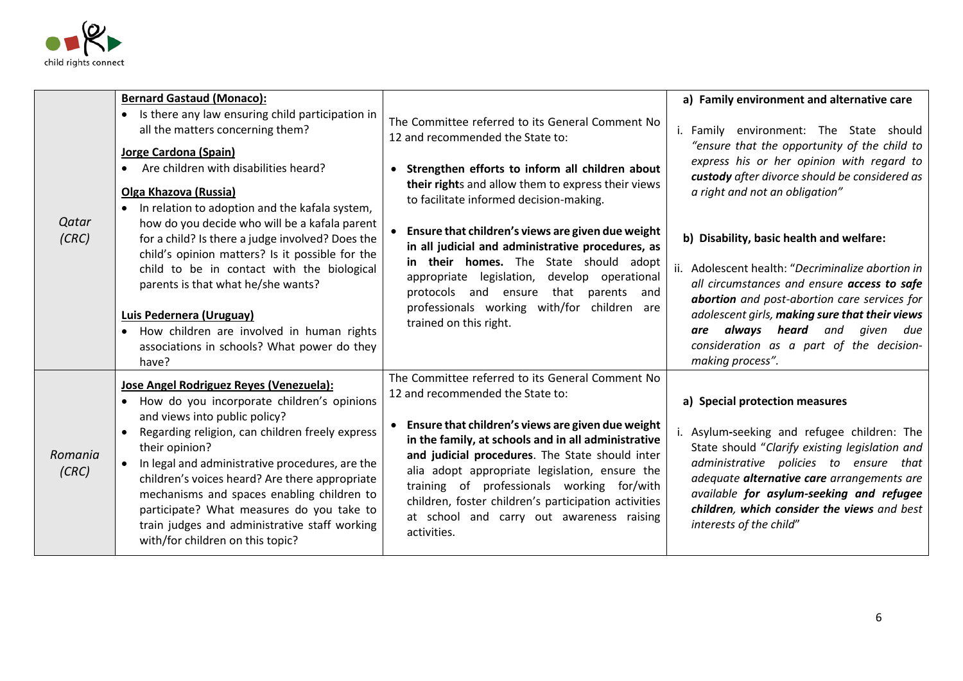

| Qatar<br>(CRC)   | <b>Bernard Gastaud (Monaco):</b><br>Is there any law ensuring child participation in<br>all the matters concerning them?<br>Jorge Cardona (Spain)<br>Are children with disabilities heard?<br>Olga Khazova (Russia)<br>In relation to adoption and the kafala system,<br>how do you decide who will be a kafala parent<br>for a child? Is there a judge involved? Does the<br>child's opinion matters? Is it possible for the<br>child to be in contact with the biological<br>parents is that what he/she wants?<br>Luis Pedernera (Uruguay)<br>• How children are involved in human rights<br>associations in schools? What power do they<br>have? | The Committee referred to its General Comment No<br>12 and recommended the State to:<br>Strengthen efforts to inform all children about<br>their rights and allow them to express their views<br>to facilitate informed decision-making.<br>Ensure that children's views are given due weight<br>in all judicial and administrative procedures, as<br>in their homes. The State should adopt<br>appropriate legislation, develop operational<br>protocols and ensure that parents<br>and<br>professionals working with/for children are<br>trained on this right. | a) Family environment and alternative care<br>i. Family environment: The State should<br>"ensure that the opportunity of the child to<br>express his or her opinion with regard to<br>custody after divorce should be considered as<br>a right and not an obligation"<br>b) Disability, basic health and welfare:<br>ii. Adolescent health: "Decriminalize abortion in<br>all circumstances and ensure access to safe<br>abortion and post-abortion care services for<br>adolescent girls, making sure that their views<br>are always heard and given<br>due<br>consideration as a part of the decision-<br>making process". |
|------------------|------------------------------------------------------------------------------------------------------------------------------------------------------------------------------------------------------------------------------------------------------------------------------------------------------------------------------------------------------------------------------------------------------------------------------------------------------------------------------------------------------------------------------------------------------------------------------------------------------------------------------------------------------|-------------------------------------------------------------------------------------------------------------------------------------------------------------------------------------------------------------------------------------------------------------------------------------------------------------------------------------------------------------------------------------------------------------------------------------------------------------------------------------------------------------------------------------------------------------------|------------------------------------------------------------------------------------------------------------------------------------------------------------------------------------------------------------------------------------------------------------------------------------------------------------------------------------------------------------------------------------------------------------------------------------------------------------------------------------------------------------------------------------------------------------------------------------------------------------------------------|
| Romania<br>(CRC) | Jose Angel Rodriguez Reyes (Venezuela):<br>• How do you incorporate children's opinions<br>and views into public policy?<br>Regarding religion, can children freely express<br>their opinion?<br>In legal and administrative procedures, are the<br>children's voices heard? Are there appropriate<br>mechanisms and spaces enabling children to<br>participate? What measures do you take to<br>train judges and administrative staff working<br>with/for children on this topic?                                                                                                                                                                   | The Committee referred to its General Comment No<br>12 and recommended the State to:<br>Ensure that children's views are given due weight<br>in the family, at schools and in all administrative<br>and judicial procedures. The State should inter<br>alia adopt appropriate legislation, ensure the<br>training of professionals working for/with<br>children, foster children's participation activities<br>at school and carry out awareness raising<br>activities.                                                                                           | a) Special protection measures<br>i. Asylum-seeking and refugee children: The<br>State should "Clarify existing legislation and<br>administrative policies to ensure that<br>adequate alternative care arrangements are<br>available for asylum-seeking and refugee<br>children, which consider the views and best<br>interests of the child"                                                                                                                                                                                                                                                                                |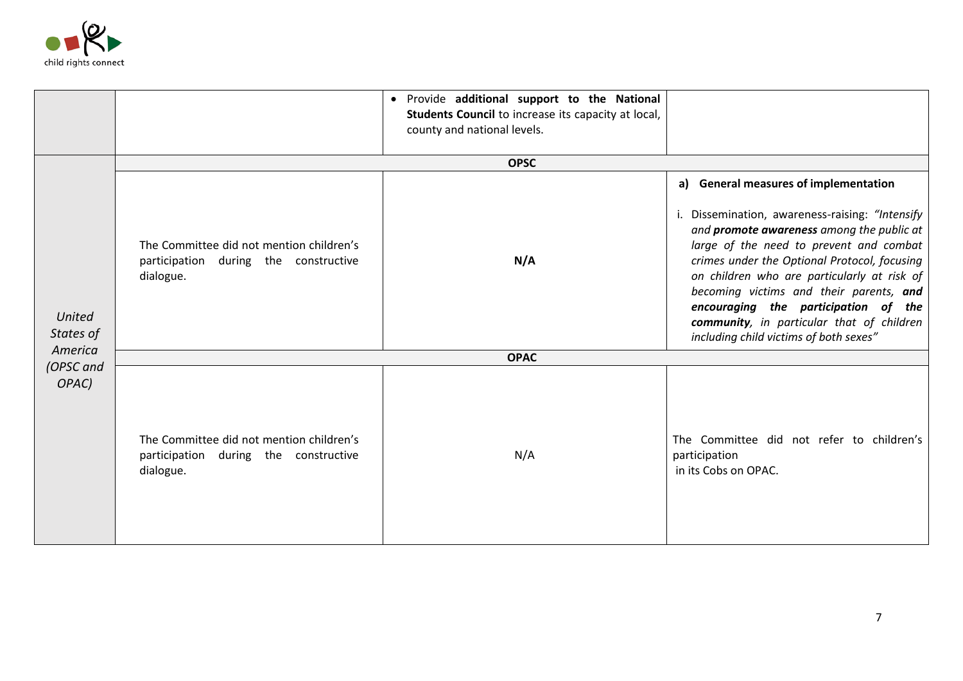

|                     |                                                                                                | • Provide additional support to the National<br>Students Council to increase its capacity at local,<br>county and national levels. |                                                                                                                                                                                                                                                                                                                                                                                                                                                        |
|---------------------|------------------------------------------------------------------------------------------------|------------------------------------------------------------------------------------------------------------------------------------|--------------------------------------------------------------------------------------------------------------------------------------------------------------------------------------------------------------------------------------------------------------------------------------------------------------------------------------------------------------------------------------------------------------------------------------------------------|
| <b>OPSC</b>         |                                                                                                |                                                                                                                                    |                                                                                                                                                                                                                                                                                                                                                                                                                                                        |
| United<br>States of | The Committee did not mention children's<br>participation during the constructive<br>dialogue. | N/A                                                                                                                                | a) General measures of implementation<br>Dissemination, awareness-raising: "Intensify<br>and promote awareness among the public at<br>large of the need to prevent and combat<br>crimes under the Optional Protocol, focusing<br>on children who are particularly at risk of<br>becoming victims and their parents, and<br>encouraging the participation of the<br>community, in particular that of children<br>including child victims of both sexes" |
| America             | <b>OPAC</b>                                                                                    |                                                                                                                                    |                                                                                                                                                                                                                                                                                                                                                                                                                                                        |
| (OPSC and<br>OPAC)  | The Committee did not mention children's<br>participation during the constructive<br>dialogue. | N/A                                                                                                                                | The Committee did not refer to children's<br>participation<br>in its Cobs on OPAC.                                                                                                                                                                                                                                                                                                                                                                     |